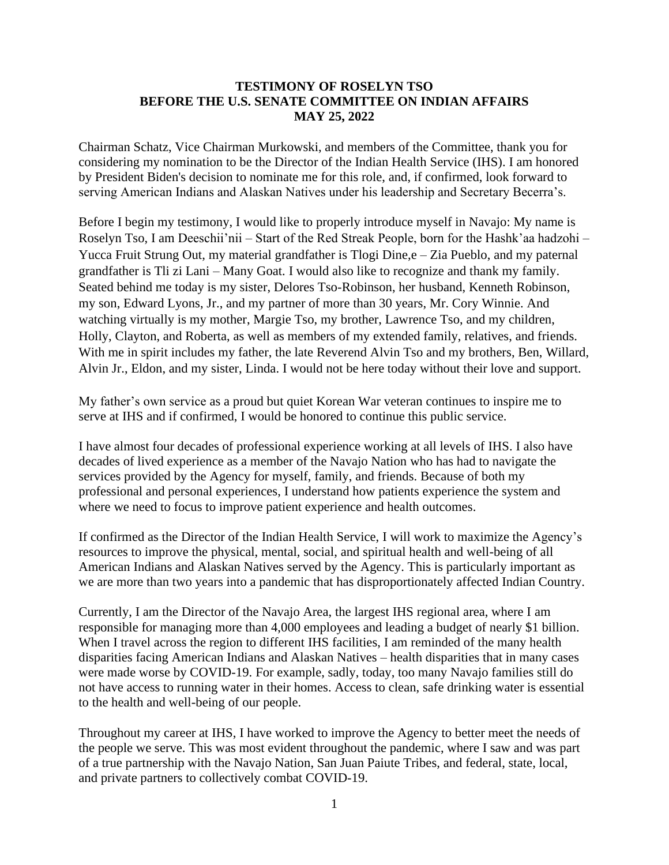## **TESTIMONY OF ROSELYN TSO BEFORE THE U.S. SENATE COMMITTEE ON INDIAN AFFAIRS MAY 25, 2022**

Chairman Schatz, Vice Chairman Murkowski, and members of the Committee, thank you for considering my nomination to be the Director of the Indian Health Service (IHS). I am honored by President Biden's decision to nominate me for this role, and, if confirmed, look forward to serving American Indians and Alaskan Natives under his leadership and Secretary Becerra's.

Before I begin my testimony, I would like to properly introduce myself in Navajo: My name is Roselyn Tso, I am Deeschii'nii – Start of the Red Streak People, born for the Hashk'aa hadzohi – Yucca Fruit Strung Out, my material grandfather is Tlogi Dine, e – Zia Pueblo, and my paternal grandfather is Tli zi Lani – Many Goat. I would also like to recognize and thank my family. Seated behind me today is my sister, Delores Tso-Robinson, her husband, Kenneth Robinson, my son, Edward Lyons, Jr., and my partner of more than 30 years, Mr. Cory Winnie. And watching virtually is my mother, Margie Tso, my brother, Lawrence Tso, and my children, Holly, Clayton, and Roberta, as well as members of my extended family, relatives, and friends. With me in spirit includes my father, the late Reverend Alvin Tso and my brothers, Ben, Willard, Alvin Jr., Eldon, and my sister, Linda. I would not be here today without their love and support.

My father's own service as a proud but quiet Korean War veteran continues to inspire me to serve at IHS and if confirmed, I would be honored to continue this public service.

I have almost four decades of professional experience working at all levels of IHS. I also have decades of lived experience as a member of the Navajo Nation who has had to navigate the services provided by the Agency for myself, family, and friends. Because of both my professional and personal experiences, I understand how patients experience the system and where we need to focus to improve patient experience and health outcomes.

If confirmed as the Director of the Indian Health Service, I will work to maximize the Agency's resources to improve the physical, mental, social, and spiritual health and well-being of all American Indians and Alaskan Natives served by the Agency. This is particularly important as we are more than two years into a pandemic that has disproportionately affected Indian Country.

Currently, I am the Director of the Navajo Area, the largest IHS regional area, where I am responsible for managing more than 4,000 employees and leading a budget of nearly \$1 billion. When I travel across the region to different IHS facilities, I am reminded of the many health disparities facing American Indians and Alaskan Natives – health disparities that in many cases were made worse by COVID-19. For example, sadly, today, too many Navajo families still do not have access to running water in their homes. Access to clean, safe drinking water is essential to the health and well-being of our people.

Throughout my career at IHS, I have worked to improve the Agency to better meet the needs of the people we serve. This was most evident throughout the pandemic, where I saw and was part of a true partnership with the Navajo Nation, San Juan Paiute Tribes, and federal, state, local, and private partners to collectively combat COVID-19.